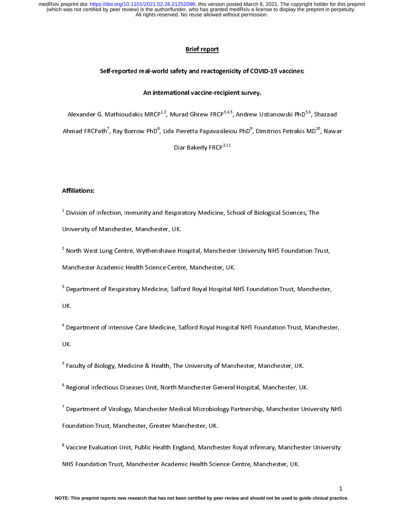## Brief report

# Self-reported real-world safety and reactogenicity of COVID-19 vaccines:

## An international vaccine-recipient survey.

Alexander G. Mathioudakis MRCP<sup>1,2</sup>, Murad Ghrew FRCP<sup>3,4,5</sup>, Andrew Ustianowski PhD<sup>5,6</sup>, Shazaad<br>Ahmad FRCPath<sup>7</sup>, Ray Borrow PhD<sup>8</sup>, Lida Pieretta Papavasileiou PhD<sup>9</sup>, Dimitrios Petrakis MD<sup>10</sup>, Nawar<br>Diar Bakerly FRC Ahmad FRCPath7 , Ray Borrow PhD $^{\circ}$ , Lida Pieretta Papavasileiou PhD<sup>9</sup><br>Diar Bakerly FRCP<sup>3,11</sup> , Dimitrios Petrakis MD10, Nawar

# Diar Bakerly FRCP<sup>9,44</sup><br>|<br>|

Armiations:<br><sup>1</sup> Division of<br>University of t,

Diversity of Manchester, Manchester, UK.<br>North West Lung Centre, Wythenshawe Hospital, Manchester University NHS Foundation Tr<br>Manchester Academic Health Science Centre, Manchester, UK. Pantatiny of Manchester, Manchester, 2016<br><sup>2</sup> North West Lung Centre, Wythenshawe Ho<br>Manchester Academic Health Science Centr 1

North West Lung Centre, Wythenshame Hospital, Manchester Centre, Manchester University NHS Foundation Trust, Manchester,<br>Department of Respiratory Medicine, Salford Royal Hospital NHS Foundation Trust, Manchester,<br>JK.  $^3$  Department of Respiratory Medicine, Salford Royal Hospital N<br>UK.<br>. Ĭ

Department of Intensive Care Medicine, Salford Royal Hospital NHS Foundation Trust, Manchester,<br>Department of Intensive Care Medicine, Salford Royal Hospital NHS Foundation Trust, Mancheste<br>JK.  $^4$  De<br>UK.<br>5 1 DR.<br>DK.<br>Faculty of Biology, Medicine & Health, The University of Manchester, Manchester, UK.

 $5R$ <br> $6R$ e .<br>أ

Ĭ

Faculty of Biology, Medicine & Health, The University of Manchester, The Regional Infectious Diseases Unit, North Manchester General Hospital, Manchester, UK.<br>Department of Virology, Manchester Medical Microbiology Partner Repartment of Virology, Manchester Medical Microbiology Partnership, Manchester Unit, North Manchester, Greater Manchester, UK.  $\overline{a}$ Department of Virology, Manchester Medical Microbiology Partnership, Manchester Emilion, June<br>Coundation Trust, Manchester, Greater Manchester, UK.<br>NHS Foundation Trust, Manchester Academic Health Science Centre, Mancheste

8<br>Foundation Unit, Public Health England, Manche<br>NHS Foundation Trust, Manchester Academic Health Scie Ĭ

Vacant Evanuation England, Public Health England, Manufactor Heyan Manufacty, Manufactor England,<br>VHS Foundation Trust, Manchester Academic Health Science Centre, Manchester, UK.<br>I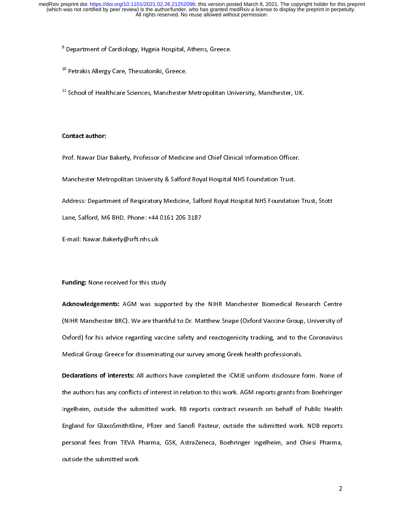<sup>9</sup> Department of Cardiology, Hygeia Hospital, Athens, Greece.

or Cardiology, Hygeia Hospital, Cardiology, Petrakis Allergy Care, Thessaloniki, Greece.<br><sup>1</sup> School of Healthcare Sciences, Manchester Metropolitan Ur <sup>10</sup> Petrakis Allergy Care, Thessaloniki, Greece.<br><sup>11</sup> School of Healthcare Sciences, Manchester<br><sup>11</sup> School of Healthcare Sciences, Manchester 11 School of Healthcare Sciences, Manchester Metropolitan University, Manchester, UK.<br>Zontact author:<br>Contact author:

# (<br>|<br>|

Contact author:<br>Prof. Nawar Diar Bakerly, Professor of Medicine and Chief Clinical Information Officer.<br>Manchester Metropolitan University & Salford Royal Hospital NHS Foundation Trust.

Manchester Metropolitan University & Salford Royal Hospital NHS Foundation Trust.<br>Address: Department of Respiratory Medicine, Salford Royal Hospital NHS Foundation Manchester Metropolitan University, as Encesary of the protein University Media<br>Address: Department of Respiratory Medicine, Salford Royal Hospital NHS Foundation<br>Lane, Salford, M6 8HD. Phone: +44 0161 206 3187

Address: Department of Respiratory Medicine, Salford Royal Hospital New York: Canadian Royal Journal<br>Lane, Salford, M6 8HD. Phone: +44 0161 206 3187<br>E-mail: Nawar.Bakerly@srft.nhs.uk

Lane, Salford, M6 8HD. Phone: +44 0161 206 4161.<br>E-mail: Nawar.Bakerly@srft.nhs.uk E-mail: Nawar.Bakerly@srft.nhs.uk

 $\begin{array}{c} \n\frac{1}{2} \quad \text{if} \quad \frac{1}{2} \quad \text{if} \quad \frac{1}{2} \quad \text{if} \quad \frac{1}{2} \quad \text{if} \quad \frac{1}{2} \quad \text{if} \quad \frac{1}{2} \quad \text{if} \quad \frac{1}{2} \quad \text{if} \quad \frac{1}{2} \quad \text{if} \quad \frac{1}{2} \quad \text{if} \quad \frac{1}{2} \quad \text{if} \quad \frac{1}{2} \quad \text{if} \quad \frac{1}{2} \quad \text{if} \quad \frac{1}{2} \quad \text{if} \quad \frac{$ Funding: None received for this study<br>Acknowledgements: AGM was supp<br>(NIHR Manchester BRC). We are thank<br>Oxford) for his advice regarding vacci Acknowledgements: AGM was supported by the NIHR Manchester Biomedical Research Centre<br>(NIHR Manchester BRC). We are thankful to Dr. Matthew Snape (Oxford Vaccine Group, University of<br>Oxford) for his advice regarding vaccin (NIHT)<br>(NIHR Manachester BRC). Oxford) for his advice regarding vaccine safety and reactogenicity tracking, and to the Coronavirus<br>(NIHR Manchester BRC). We are the Snape (Originals Medical Group, University of the Declara

Medical Group Greece for disseminating our survey among Greek health professionals.<br>Declarations of interests: All authors have completed the ICMJE uniform disclosure form. None of<br>the authors has any conflicts of interest Declarations of interests: All authors have completed the ICMJE uniform disclosure for disclosure for disclosure for disclosure for disclosure for disclosure for disclosure for disclosure for disclosure for disclosure in e the authors has any conflicts of interest in relation to this work. AGM reports grants from Boehringer<br>Ingelheim, outside the submitted work. RB reports contract research on behalf of Public Health<br>England for GlaxoSmithKl Ingelheim, outside the submitted work. RB reports contract research on behalf of Public Health<br>England for GlaxoSmithKline, Pfizer and Sanofi Pasteur, outside the submitted work. NDB reports<br>personal fees from TEVA Pharma, Ingelheim, cannot and submitted work. Reports contract research on a tender research England for GlaxoSmithKline, Pfizer and Sanofi Pasteur, outside the submitted work. NDB reports personal fees from TEVA Pharma, GSK, Astr England for Glazonal fees from TEVA Pharma, GSK, AstraZeneca, Boehringer Ingelheim, and Chiesi Pharma, outside the submitted work. Notify the submitted work. Notify reports the submitted work. Notify reports the submitted personal fees from TEVA Pharma, GSK, AstraZeneca, Boehringer Ingelheim, and Chiesis Pharma, and Chiesis Pharma, and Chiesis Pharma, AstraZeneca, Boehringer Ingelheim, and Chiesis Pharma, and Chiesis Pharma, AstraZeneca, Bo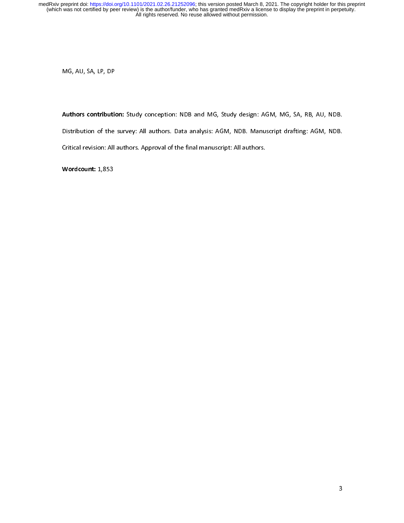$\overline{a}$ 

MG, AU, SA, LP, DP<br>
Authors contribution: Study conception: NDB and MG, Study design: AGM, MG, SA, RB, AU, NDB. Distribution of the survey: All authors. Data analysis: AGM, NDB. Manuscript drafting: AGM, NDB.<br>Critical revision: All authors. Approval of the final manuscript: All authors.<br>Wordcount: 1,853 Critical revision: All authors. Approval of the final manuscript: All authors.<br> **Wordcount:** 1,853 Critical revision: All authors. Approval of the final manuscript: All authors. Approval of the final manuscript: All authors. Approval of the final manuscript: All authors. Approval of the final manuscript: All authors. Ap

 $W$ ordcount: 1,053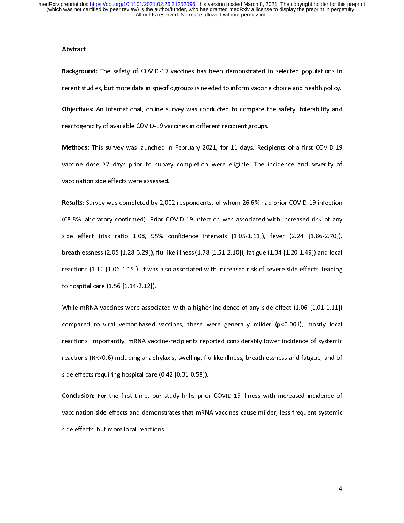### Abstract

Background: The safety of COVID-19 vacentes has been demonstrated in selected populations in<br>recent studies, but more data in specific groups is needed to inform vaccine choice and health policy.<br>**Objectives:** An internati Objectives: An international, online survey was conducted to compare the safety, tolerability and<br>reactogenicity of available COVID-19 vaccines in different recipient groups.

reactogenicity of available COVID-19 vaccines in different recipient groups.<br> **Methods:** This survey was launched in February 2021, for 11 days. Recipients of a first COVID-19<br>
vaccine dose  $\geq 7$  days prior to survey com **Methods:** This survey was launched in February 2021, for 11 days. Recipients of a first COVID-19 vaccine dose  $\geq$ 7 days prior to survey completion were eligible. The incidence and severity of vaccination side effects w Methods: This survey was launched in February 2021, for 11 days. Recipients of a first COVID-19<br>vaccine dose  $\geq$ 7 days prior to survey completion were eligible. The incidence and severity of<br>vaccination side effects were

vaccination side effects were assessed.<br>Results: Survey was completed by 2,002 respondents, of whom 26.6% had prior COVID-19 infection<br>(68.8% laboratory confirmed). Prior COVID-19 infection was associated with increased ri Results: Survey was completed by 2,00<br>(68.8% laboratory confirmed). Prior CO<br>side effect (risk ratio 1.08, 95% c Results: Survey was completed by 2,002 respondents, or whom 26.6% had prior COVID-19 infection<br>(68.8% laboratory confirmed). Prior COVID-19 infection was associated with increased risk of any<br>side effect (risk ratio 1.08, side effect (risk ratio 1.08, 95% confidence intervals  $[1.05-1.11]$ ), fever  $(2.24 [1.86-2.70])$ ,<br>breathlessness  $(2.05 [1.28-3.29])$ , flu-like illness  $(1.78 [1.51-2.10])$ , fatigue  $(1.34 [1.20-1.49])$  and local<br>reactions  $(1.1$ sheed from the effect (risk ratio 1.08, 95% confidence intervals [1.05-1.11]), fatigue (1.34 [1.20-1.49]) and local reactions (1.10 [1.06-1.15]). It was also associated with increased risk of severe side effects, leading beathions (1.10 [1.06-1.15]). It was also associated with increased risk of severe side effects, leading<br>to hospital care (1.56 [1.14-2.12]).<br>While mRNA vaccines were associated with a higher incidence of any side effect (

to hospital care (1.56 [1.14-2.12]).<br>While mRNA vaccines were associated with a higher incidence of any side effect (1.06 [1.01-1.11])<br>compared to viral vector-based vaccines, these were generally milder (p<0.001), mostly to hospital care (1.56 [1.14-2.12]).<br>While mRNA vaccines were associded<br>compared to viral vector-based<br>reactions. Importantly, mRNA vace compared to viral vector-based vaccines, these were generally milder (p<0.001), mostly local<br>reactions. Importantly, mRNA vaccine-recipients reported considerably lower incidence of systemic<br>reactions (RR<0.6) including an reactions. Importantly, mRNA vaccine-recipients reported considerably lower incidence of systemic<br>reactions (RR<0.6) including anaphylaxis, swelling, flu-like illness, breathlessness and fatigue, and of<br>side effects requir reactions (RR<0.6) including anaphylaxis, swelling, flu-like illness, breathlessness and fatigue, and of<br>side effects requiring hospital care (0.42 [0.31-0.58]).<br>Conclusion: For the first time, our study links prior COVID-

reactions (RRC) in the state of the state of the state effects requiring hospital care (0.42 [0.31-0.58]).<br> **Conclusion:** For the first time, our study links prior COVID-19 illness with increased incidence of vaccination s side effects, but more local reactions.<br>
Side effects, but more local reactions. vaccination side effects and demonstrates that mRNA vaccines cause milder, less frequent systemic<br>side effects, but more local reactions.  $\mathsf{side}$  effects, but more local reactions. side effects, but more local reactions.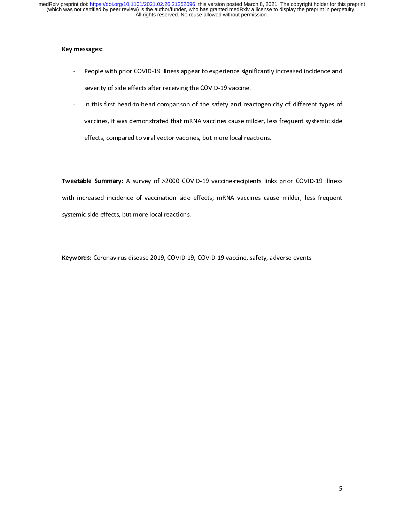# Key messages:

- $\ddot{\phantom{a}}$
- severity of side effects after receiving the COVID-19 vaccine.<br>In this first head-to-head comparison of the safety and reactogenicity of different types of<br>vaccines, it was demonstrated that mRNA vaccines cause milder, les severity of side effects after receiving the COVID-19 vaccine.<br>In this first head-to-head comparison of the safety and reactogenicity of different types of<br>vaccines, it was demonstrated that mRNA vaccines cause milder, les vaccines, it was demonstrated that mRNA vaccines cause milder, less frequent systemic side<br>effects, compared to viral vector vaccines, but more local reactions. vacance), it was demonstrated that manner vacance manner, less frequent systemic milder, it was defects, compared to viral vector vaccines, but more local reactions.

Tweetable Summary: A survey of >2000 COVID-19 vaccine-recipients links prior COVID-19 illness with increased incidence of vaccination side effects; mRNA vaccines cause milder, less frequent<br>systemic side effects, but more local reactions. when increases increases increases in contraction side effects, but more local reactions.<br>The cause of vaccines cause is for the cause of the cause of the cause of the cause of the cause of the cause of the cause of the ca

Keywords: Coronavirus disease 2019, COVID-19, COVID-19 vaccine, safety, adverse events Keywords: Coronavirus disease 2019, COVID-19, COVID-19 vaccine, safety, adverse events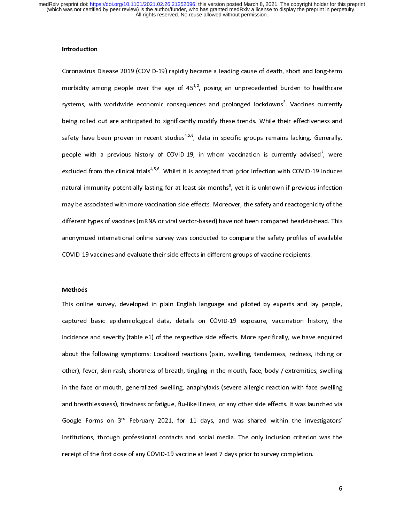introduction<br>Coronavirus I<br>morbidity am<br>systems, witl morbidity among people over the age of 45<sup>1,2</sup>, posing an unprecedented burden to healthcare<br>systems, with worldwide economic consequences and prolonged lockdowns<sup>3</sup>. Vaccines currently<br>being rolled out are anticipated to morbidity among people over the age of 45<sup>2,2</sup>, posing an unprecedented burden to healthcare<br>systems, with worldwide economic consequences and prolonged lockdowns<sup>3</sup>. Vaccines currently<br>being rolled out are anticipated to systems, with worldwide economic consequences and prolonged lockdowns<sup>3</sup>. Vaccines currently<br>being rolled out are anticipated to significantly modify these trends. While their effectiveness and<br>safety have been proven in r being rolled out are antispered to significantly modify these transformation and entertaintly and safety have been proven in recent studies<sup>4,5,6</sup>, data in specific groups remains lacking. Generally, people with a previous safety have been proven in recent studies<sup>3,50</sup>, data in specific groups remains lacking. Generally,<br>people with a previous history of COVID-19, in whom vaccination is currently advised<sup>7</sup>, were<br>excluded from the clinical people with a previous history of COVID-19, in whom vaccination is currently advised', were<br>excluded from the clinical trials<sup>4,5,6</sup>. Whilst it is accepted that prior infection with COVID-19 induces<br>natural immunity potent natural immunity potentially lasting for at least six months<sup>8</sup>, yet it is unknown if previous infection<br>4.6. whilst it is unknown if previous infection that prior in any be associated with more vaccination side effects. natural immunity potentially lasting for at least six months", yet it is unknown if previous infection<br>may be associated with more vaccination side effects. Moreover, the safety and reactogenicity of the<br>different types of may different types of vaccines (mRNA or viral vector-based) have not been compared head-to-head. This<br>anonymized international online survey was conducted to compare the safety profiles of available<br>COVID-19 vaccines and anonymized international online survey was conducted to compare the safety profiles of available COVID-19 vaccines and evaluate their side effects in different groups of vaccine recipients.

### Methods

This online survey, developed in plain English language and piloted by experts and lay people, This online survey of the respective survey, the captured basic epidemiological data, details on COVID-19 exposure, vaccination history, the incidence and severity (table e1) of the respective side effects. More specifical incidence and severity (table e1) of the respective side effects. More specifically, we have enquired<br>about the following symptoms: Localized reactions (pain, swelling, tenderness, redness, itching or<br>other), fever, skin r about the following symptoms: Localized reactions (pain, swelling, tenderness, redness, itching or<br>other), fever, skin rash, shortness of breath, tingling in the mouth, face, body / extremities, swelling<br>in the face or mou about the following symptoms: Localized reactions (pain), such alleg, remements, remines, remines of<br>other), fever, skin rash, shortness of breath, tingling in the mouth, face, body / extremities, swelling<br>in the face or m onter, sever, since there, shortness of an extremity in given, the mount, time mount, such as in the face or mouth, generalized swelling, anaphylaxis (severe allergic reaction with face swelling and breathlessness), tiredn in the face or mouth, generalized straining, anaphyland (severe analyse reaction that the esterning)<br>and breathlessness), tiredness or fatigue, flu-like illness, or any other side effects. It was launched via<br>Google Forms Google Forms on  $3^{rd}$  February 2021, for 11 days, and was shared within the investigators'<br>institutions, through professional contacts and social media. The only inclusion criterion was the<br>receipt of the first dose of a Google Forms on 3<sup>rd</sup> February 2021, for 11 days, and was shared within the investigators'<br>institutions, through professional contacts and social media. The only inclusion criterion was the<br>receipt of the first dose of any institutions, the first dose of any COVID-19 vaccine at least 7 days prior to survey completion.<br>
Fig. 3. The only include the only include the only include the only include the only include the only include the only inclu receipt of the first dose of any COVID-19 vaccine at least 7 days prior to survey completion.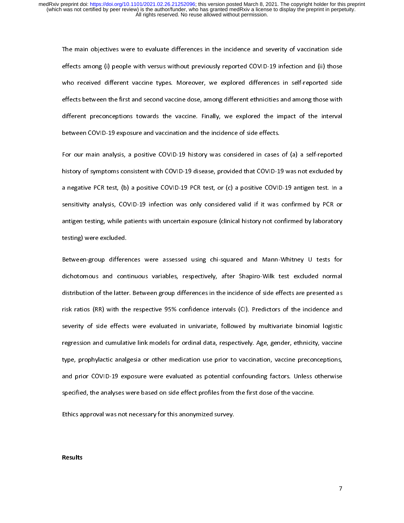effects among (i) people with versus without previously reported COVID-19 infection and (ii) those<br>who received different vaccine types. Moreover, we explored differences in self-reported side<br>effects between the first and effects between the first and second vaccine dose, among different ethnicities and among those with<br>different preconceptions towards the vaccine. Finally, we explored the impact of the interval effects between the first and second vaccine dose, among different ethnicities and among those with<br>different preconceptions towards the vaccine. Finally, we explored the impact of the interval<br>between COVID-19 exposure an different preconceptions towards the vaccine. Finally, we explored the impact of the interval<br>between COVID-19 exposure and vaccination and the incidence of side effects.<br>For our main analysis, a positive COVID-19 history

different COVID-19 exposure and vaccination and the incidence of side effects.<br>For our main analysis, a positive COVID-19 history was considered in cases of (a) a self-reported<br>history of symptoms consistent with COVID-19 For our main analysis, a positive COVID-19 history was considered in cases<br>history of symptoms consistent with COVID-19 disease, provided that COVID-1!<br>a negative PCR test, (b) a positive COVID-19 PCR test, or (c) a positi For our main analysis, a positive COVID-19 disease, provided that COVID-19 was not excluded by<br>a negative PCR test, (b) a positive COVID-19 PCR test, or (c) a positive COVID-19 antigen test. In a<br>sensitivity analysis, COVI a negative PCR test, (b) a positive COVID-19 PCR test, or (c) a positive COVID-19 antigen test. In a sensitivity analysis, COVID-19 infection was only considered valid if it was confirmed by PCR or<br>antigen testing, while patients with uncertain exposure (clinical history not confirmed by laboratory<br>testing) were excluded. antigen testing, while patients with uncertain exposure (clinical history not confirmed by laboratory<br>testing) were excluded.<br>Between-group differences were assessed using chi-squared and Mann-Whitney U tests for

antigen testing) were excluded.<br>Between-group differences were assessed using chi-squared and Mann-Whitney U tests for<br>dichotomous and continuous variables, respectively, after Shapiro-Wilk test excluded normal er,<br>Between-group differe<br>dichotomous and cont<br>distribution of the latter dichotomous and continuous variables, respectively, after Shapiro-Wilk test excluded normal<br>distribution of the latter. Between group differences in the incidence of side effects are presented as<br>risk ratios (RR) with the distribution of the latter. Between group differences in the incidence of side effects are presented as<br>risk ratios (RR) with the respective 95% confidence intervals (CI). Predictors of the incidence and<br>severity of side e risk ratios (RR) with the respective 95% confidence intervals (CI). Predictors of the incidence and<br>severity of side effects were evaluated in univariate, followed by multivariate binomial logistic<br>regression and cumulativ rational confidence intervention (RP). The intervals of the intervals and<br>severity of side effects were evaluated in univariate, followed by multivariate binomial logistic<br>regression and cumulative link models for ordinal regression and cumulative link models for ordinal data, respectively. Age, gender, ethnicity, vaccine type, prophylactic analgesia or other medication use prior to vaccination, vaccine preconceptions,<br>and prior COVID-19 exposure were evaluated as potential confounding factors. Unless otherwise<br>specified, the analyses were and prior COVID-19 exposure were evaluated as potential confounding factors. Unless otherwise<br>specified, the analyses were based on side effect profiles from the first dose of the vaccine.<br>Ethics approval was not necessary and prior COVID-19 exposure were transferred as potential conformaling factors. Since the conformal specified, the analyses were based on side effect profiles from the first dose of the vaccine.<br>Ethics approval was not nec

Ethics approval was not necessary for this anonymized survey.<br>Ethics approval was not necessary for this anonymized survey. Ethics approval was not necessary for this analysis approximately survey.<br>Results

Results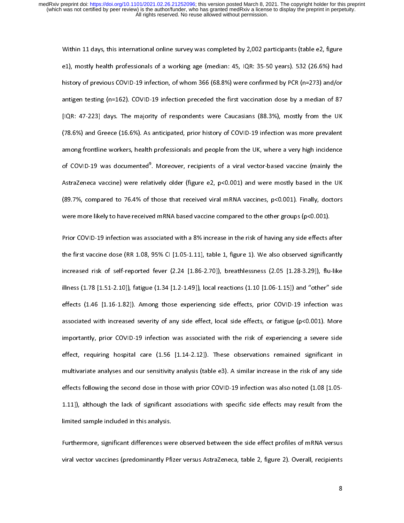Within 11 days, this international online survey was completed by 2,002 participants (table e2, figure e1), mostly health professionals of a working age (median: 45, IQR: 35-50 years). 532 (26.6%) had history of previous C history of previous COVID-19 infection, of whom 366 (68.8%) were confirmed by PCR (n=273) and/or<br>antigen testing (n=162). COVID-19 infection preceded the first vaccination dose by a median of 87<br>[IQR: 47-223] days. The maj htigen testing (n=162). COVID-19 infection preceded the first vaccination dose by a median of 87<br>[IQR: 47-223] days. The majority of respondents were Caucasians (88.3%), mostly from the UK<br>(78.6%) and Greece (16.6%). As an [IQR: 47-223] days. The majority of respondents were Caucasians (88.3%), mostly from the UK<br>(78.6%) and Greece (16.6%). As anticipated, prior history of COVID-19 infection was more prevalent<br>among frontline workers, healt (78.6%) and Greece (16.6%). As anticipated, prior history of COVID-19 infection was more prevalent<br>among frontline workers, health professionals and people from the UK, where a very high incidence<br>of COVID-19 was documente (18.6%)<br>among frontline workers, health professionals and people from the UK, where a very high incidence<br>of COVID-19 was documented<sup>9</sup>. Moreover, recipients of a viral vector-based vaccine (mainly the<br>AstraZeneca vaccine) among frontline workers, health professional vector-based vaccine (mainly the<br>AstraZeneca vaccine) were relatively older (figure e2, p<0.001) and were mostly based in the UK<br>(89.7%, compared to 76.4% of those that received of COVID-19 was documented". Moreover, recipients of a viral vector-based vaccine (mainly the<br>AstraZeneca vaccine) were relatively older (figure e2, p<0.001) and were mostly based in the UK<br>(89.7%, compared to 76.4% of tho (89.7%, compared to 76.4% of those that received viral mRNA vaccines, p<0.001). Finally, doctors<br>Were more likely to have received mRNA based vaccine compared to the other groups (p<0.001).<br>Prior COVID-19 infection was as

(1988), compared to 18.4% of the 18.4% of the 18.4% of the 18.4% of the other groups (p<0.001).<br>Were more likely to have received mRNA based vaccine compared to the other groups (p<0.001).<br>Prior COVID-19 infection was asso Prior COVID-19 infection was associated with a 8% increase in the risk of having any side effects a<br>the first vaccine dose (RR 1.08, 95% CI [1.05-1.11], table 1, figure 1). We also observed significa<br>increased risk of self the first vaccine dose (RR 1.08, 95% CI [1.05-1.11], table 1, figure 1). We also observed significantly<br>increased risk of self-reported fever (2.24 [1.86-2.70]), breathlessness (2.05 [1.28-3.29]), flu-like<br>illness (1.78 [1 increased risk of self-reported fever (2.24 [1.86-2.70]), breathlessness (2.05 [1.28-3.29]), flu-like<br>illness (1.78 [1.51-2.10]), fatigue (1.34 [1.2-1.49]), local reactions (1.10 [1.06-1.15]) and "other" side<br>effects (1.46 illness (1.78 [1.51-2.10]), fatigue (1.34 [1.2-1.49]), local reactions (1.10 [1.06-1.15]) and "other" side<br>effects (1.46 [1.16-1.82]). Among those experiencing side effects, prior COVID-19 infection was<br>associated with inc effects (1.46 [1.16-1.82]). Among those experiencing side effects, prior COVID-19 infection was<br>associated with increased severity of any side effect, local side effects, or fatigue (p<0.001). More<br>importantly, prior COVID associated with increased severity of any side effect, local side effects, or fatigue (p<0.001). More<br>importantly, prior COVID-19 infection was associated with the risk of experiencing a severe side<br>effect, requiring hospi importantly, prior COVID-19 infection was associated with the risk of experiencing a severe side<br>effect, requiring hospital care (1.56 [1.14-2.12]). These observations remained significant in<br>multivariate analyses and our importantly, prior in the effect, requiring hospital care (1.56 [1.14-2.12]). These observations remained significant in<br>interval in multivariate analyses and our sensitivity analysis (table e3). A similar increase in the effects following the second dose in those with prior COVID-19 infection was also noted (1.08 [1.05-1.11]), although the lack of significant associations with specific side effects may result from the multivariate analyses and sensitivity, analysis (table e3). A similar increase in the risk of any reseted effects following the second dose in those with prior COVID-19 infection was also noted (1.08 [1.05-1.11]), although 1.11]), although the lack of significant associations with specific side effects may result from the<br>limited sample included in this analysis.

1.121<sub>1</sub>), although the lathout of significant associations with specific side of side in this analysis.<br>Imited sample included in this analysis.<br>Furthermore, significant differences were observed between the side effect p Initial sample included in this analysis.<br>Furthermore, significant differences we<br>viral vector vaccines (predominantly Pfi viral vector vaccines (predominantly Pfizer versus AstraZeneca, table 2, figure 2). Overall, recipients<br>8 viral vector vaccines (predominantly Pfizer versus AstraZeneca, table 2, figure 2). Overall, recipients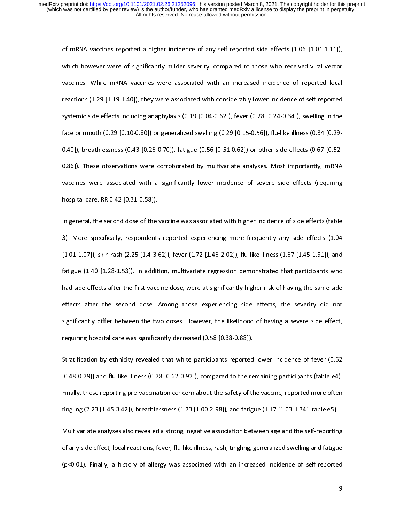of mRNA vaccines reported a higher incidence of any self-reported side effects (1.06 [1.01-1.11]),<br>which however were of significantly milder severity, compared to those who received viral vector<br>vaccines. While mRNA vacci vaccines. While mRNA vaccines were associated with an increased incidence of reported local<br>reactions (1.29 [1.19-1.40]), they were associated with considerably lower incidence of self-reported<br>systemic side effects inclu reactions (1.29 [1.19-1.40]), they were associated with considerably lower incidence of self-reported<br>systemic side effects including anaphylaxis (0.19 [0.04-0.62]), fever (0.28 [0.24-0.34]), swelling in the<br>face or mouth reactions (1.29 [1.120 1.14]), they are according that considerably lower materials of self-reported<br>systemic side effects including anaphylaxis (0.19 [0.04-0.62]), fever (0.28 [0.24-0.34]), swelling in the<br>face or mouth face or mouth (0.29 [0.10-0.80]) or generalized swelling (0.29 [0.15-0.56]), flu-like illness (0.34 [0.29-0.40]), breathlessness (0.43 [0.26-0.70]), fatigue (0.56 [0.51-0.62]) or other side effects (0.67 [0.52-0.86]). These observations were corroborated by multivariate analyses. Most importantly, mRNA vaccines were associated 0.86]). These observations were corroborated by multivariate analyses. Most importantly, mRNA<br>vaccines were associated with a significantly lower incidence of severe side effects (requiring<br>hospital care, RR 0.42 [0.31-0.5 0.863). These cases of the corresponses by multiparties analyses measure importantly, multivariated victors were associated with a significantly lower incidence of severe side effects (requiring hospital care, RR 0.42 [0.3

vaccines y consider a significant care, RR 0.42 [0.31-0.58]).<br>In general, the second dose of the vaccine was associated with higher incidence of side effects (table<br>3). More specifically, respondents reported experiencing hospital care, America (1922–1924).<br>
In general, the second dose of the<br>
3). More specifically, respondents<br>
[1.01-1.07]), skin rash (2.25 [1.4-3.6] In general, More specifically, respondents reported experiencing more frequently any side effects (1.04<br>In general, the vaccine was associated the vaccine of 1.01-1.07]), skin rash (2.25 [1.4-3.62]), fever (1.72 [1.46-2.02 3). (1.01-1.07]), skin rash (2.25 [1.4-3.62]), fever (1.72 [1.46-2.02]), flu-like illness (1.67 [1.45-1.91]), and fatigue (1.40 [1.28-1.53]). In addition, multivariate regression demonstrated that participants who had sid fatigue (1.40 [1.28-1.53]). In addition, multivariate regression demonstrated that participants who<br>had side effects after the first vaccine dose, were at significantly higher risk of having the same side<br>effects after the fatigue (1.40 [1.128-1.13]). In addition, multivariate regression demonstration that participants who<br>had side effects after the first vaccine dose, were at significantly higher risk of having the same side<br>effects after t effects after the second dose. Among those experiencing side effects, the severity did not<br>significantly differ between the two doses. However, the likelihood of having a severe side effect,<br>requiring hospital care was sig effects after the second of the second of having a severe side effect,<br>Franching hospital care was significantly decreased (0.58 [0.38-0.88]).<br>Stratification by ethnicity revealed that white participants reported lower inc

significantly decreased (0.58 [0.38-0.88]).<br>Stratification by ethnicity revealed that white participants reported lower incidence of fever (0.62<br>[0.48-0.79]) and flu-like illness (0.78 [0.62-0.97]), compared to the remaini requiring by the care was signification by ethnicity revealed that white participants reported<br>[0.48-0.79]) and flu-like illness (0.78 [0.62-0.97]), compared to the re<br>Finally, those reporting pre-vaccination concern about [0.48-0.79]) and flu-like illness (0.78 [0.62-0.97]), compared to the remaining participants (table e4).<br>Finally, those reporting pre-vaccination concern about the safety of the vaccine, reported more often<br>tingling (2.23 Finally, those reporting pre-vaccination concern about the safety of the vaccine, reported more often<br>tingling (2.23 [1.45-3.42]), breathlessness (1.73 [1.00-2.98]), and fatigue (1.17 [1.03-1.34], table e5).<br>Multivariate a

tingling (2.23 [1.45-3.42]), breathlessness (1.73 [1.00-2.98]), and fatigue (1.17 [1.03-1.34], table e5).<br>Multivariate analyses also revealed a strong, negative association between age and the self-reporting<br>of any side ef the state of the state of the self-reporting Multivariate analyses also revealed a strong, negative association between age and the self-reporting<br>of any side effect, local reactions, fever, flu-like illness, rash, tinglin of any side effect, local reactions, fever, flu-like illness, rash, tingling, generalized swelling and fatigue<br>(p<0.01). Finally, a history of allergy was associated with an increased incidence of self-reported<br>a  $(p<0.01)$ . Finally, a history of allergy was associated with an increased incidence of self-reported 9 (particle). Finally, a history of alleged increased increased increased increased increased increased increased in<br>Eq. (b) and increased in contract of self-reported increased in contract of self-reported increased in the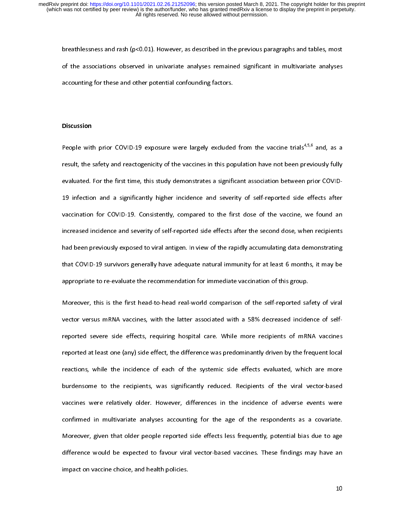breathlessness and rash (p<0.01). However, as described in the previous paragraphs and tables, most<br>of the associations observed in univariate analyses remained significant in multivariate analyses<br>accounting for these and accounting for these and other potential confounding factors.<br>
The accounting for the analyses and other potential confounding factors.

# accounting for the set and other potential conformation of the set and other potential conformation of the set of the set of the set of the set of the set of the set of the set of the set of the set of the set of the set o **Discussion**

|<br>|<br>| People with prior COVID-19 exposure were largely excluded from the vaccine trials<sup>4,5%</sup> and, as a<br>result, the safety and reactogenicity of the vaccines in this population have not been previously fully<br>evaluated. For the f result, the safety and reactogenicity of the vacancie in the population mass increasing previously fully<br>evaluated. For the first time, this study demonstrates a significant association between prior COVID-<br>19 infection an increased incidence and severity of self-reported side effects after the second dose, when recipients 19 vaccination for COVID-19. Consistently, compared to the first dose of the vaccine, we found an<br>19 increased incidence and severity of self-reported side effects after the second dose, when recipients<br>19 had been previou increased incidence and severity of self-reported side effects after the second dose, when recipients<br>had been previously exposed to viral antigen. In view of the rapidly accumulating data demonstrating<br>that COVID-19 survi increased increased increasing or self-reported after the second after the second and seen previously exposed to viral antigen. In view of the rapidly accumulating data demonstrating<br>that COVID-19 survivors generally have that COVID-19 survivors generally have adequate natural immunity for at least 6 months, it may be<br>appropriate to re-evaluate the recommendation for immediate vaccination of this group.<br>Moreover, this is the first head-to-h

that COVID-19 survivery generally have adequate internationally for at least 6 months, it may be<br>appropriate to re-evaluate the recommendation for immediate vaccination of this group.<br>Moreover, this is the first head-to-he Moreover, this is the first head-to-head real-world comparison of the self-reported sat<br>vector versus mRNA vaccines, with the latter associated with a 58% decreased incide<br>reported severe side effects, requiring hospital c vector versus mRNA vaccines, with the latter associated with a 58% decreased incidence of self-<br>reported severe side effects, requiring hospital care. While more recipients of mRNA vaccines<br>reported at least one (any) side reactions, while the incidence of each of the systemic side effects evaluated, which are more reported at least one (any) side effect, the difference was predominantly driven by the frequent local<br>reactions, while the incidence of each of the systemic side effects evaluated, which are more<br>burdensome to the recipie reactions, while the incidence of each of the systemic side effects evaluated, which are more<br>burdensome to the recipients, was significantly reduced. Recipients of the viral vector-based<br>vaccines were relatively older. Ho burdensome to the recipients, was significantly reduced. Recipients of the viral vector-based<br>vaccines were relatively older. However, differences in the incidence of adverse events were<br>confirmed in multivariate analyses burdensome to the recipients were relatively older. However, differences in the incidence of adverse events were<br>confirmed in multivariate analyses accounting for the age of the respondents as a covariate.<br>Moreover, given confirmed in multivariate analyses accounting for the age of the respondents as a covariate.<br>Moreover, given that older people reported side effects less frequently, potential bias due to age<br>difference would be expected t Moreover, given that older people reported side effects less frequently, potential bias due to age<br>difference would be expected to favour viral vector-based vaccines. These findings may have an<br>impact on vaccine choice, an difference would be expected to favour viral vector-based vaccines. These findings may have an<br>impact on vaccine choice, and health policies.<br>10 difference would be expected to factor-based vaccine vaccine choice, and health policies.<br>These findings may have an analyzed vaccine choice, and health policies. impact on vaccine choice, and health policies.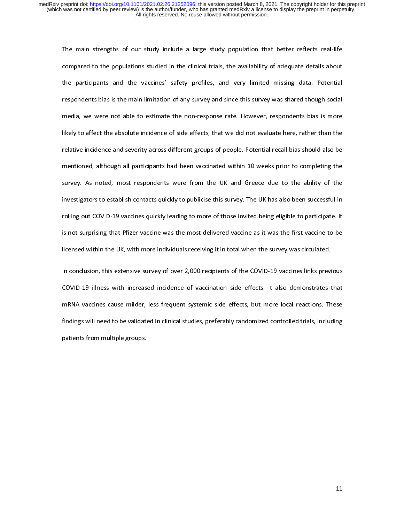The main strengths of our strengths of adequate details about<br>the participants and the vaccines' safety profiles, and very limited missing data. Potential<br>respondents bias is the main limitation of any survey and since thi compared to the participants and the vaccines' safety profiles, and very limited missing data. Potential<br>respondents bias is the main limitation of any survey and since this survey was shared though social<br>media, we were n the participant of the participant of the vaccines of the vaccines of the participants and since this survey was shared though social<br>The participants and the vaccines mission of any survey and since this survey was shared respondents and is the main annualized of  $m$ , yearly and since this survey may shared though social<br>media, we were not able to estimate the non-response rate. However, respondents bias is more<br>likely to affect the absolut likely to affect the absolute incidence of side effects, that we did not evaluate here, rather than the<br>relative incidence and severity across different groups of people. Potential recall bias should also be<br>mentioned, alt relative incidence and severity across different groups of people. Potential recall bias should also be<br>mentioned, although all participants had been vaccinated within 10 weeks prior to completing the<br>survey. As noted, mos mentioned, although all participants had been vaccinated within 10 weeks prior to completing the<br>survey. As noted, most respondents were from the UK and Greece due to the ability of the<br>investigators to establish contacts mentioned, although all participants had been vacantied within 10 weeks prior to completing the<br>survey. As noted, most respondents were from the UK and Greece due to the ability of the<br>investigators to establish contacts q survestigators to establish contacts quickly to publicise this survey. The UK has also been successful in<br>rolling out COVID-19 vaccines quickly leading to more of those invited being eligible to participate. It<br>is not surp in engative to establish contacts quickly leading to more of those invited being eligible to participate. It<br>is not surprising that Pfizer vaccine was the most delivered vaccine as it was the first vaccine to be<br>licensed w rolling out COVID-19 vacance quickly leading to more of more invited being eligible to participate. It<br>is not surprising that Pfizer vaccine was the most delivered vaccine as it was the first vaccine to be<br>licensed within

licensed within the UK, with more individuals receiving it in total when the survey was circulated.<br>In conclusion, this extensive survey of over 2,000 recipients of the COVID-19 vaccines links previous<br>COVID-19 illness wit In conclusion, this extensive survey of over 2,000 recipients of the COVID-19 vaccines links previ<br>COVID-19 illness with increased incidence of vaccination side effects. It also demonstrates t<br>mRNA vaccines cause milder, l In concluding, the encounterment of the Covid-19 previous previous covid-2, the COVID-19 illness with increased incidence of vaccination side effects. It also demonstrates that<br>mRNA vaccines cause milder, less frequent sys mRNA vaccines cause milder, less frequent systemic side effects, but more local reactions. These<br>findings will need to be validated in clinical studies, preferably randomized controlled trials, including<br>patients from mult findings will need to be validated in clinical studies, preferably randomized controlled trials, including.<br>patients from multiple groups. finding will need to be valid at the validation of the validation of the validation of the validation of the validation of the validation of the validation of the validation of the validation of the validation of the valid patients from multiple groups.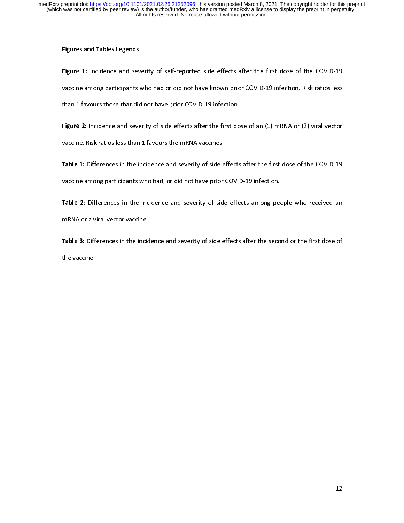# Figures and Tables Legends

Figure 1: Incidence and severity of self-reported side effects after the first dose of the COVID-19<br>vaccine among participants who had or did not have known prior COVID-19 infection. Risk ratios less<br>than 1 favours those t

than 1 favours those that did not have prior COVID-19 infection.<br>Figure 2: Incidence and severity of side effects after the first dose of an (1) mRNA or (2) viral vector<br>vaccine. Risk ratios less than 1 favours the mRNA va Figure 2: Incidence and severity of side effects after the first do<br>vaccine. Risk ratios less than 1 favours the mRNA vaccines. vaccine. Risk ratios less than 1 favours the mRNA vaccines.<br>Table 1: Differences in the incidence and severity of side effects after the first dose of the COVID-19

vaccine among participants who had, or did not have prior COVID-19 infection.

Table 1: Differences in the incidence and severity of side effects after the first dose of the COVID-19<br>vaccine among participants who had, or did not have prior COVID-19 infection.<br>Table 2: Differences in the incidence an Table 2: Differences in the incidence and severity of side effects among people.<br>
The notation of a viral vector vaccine.

Table 2: Differences in the incidence and severity of side effects among people who received an<br>mRNA or a viral vector vaccine.<br>Table 3: Differences in the incidence and severity of side effects after the second or the fir manded at the vector vacance.<br>Table 3: Differences in the incident<br>the vaccine. Table 3: Differences in the incidence and severity of side effects after the second or the first dose of<br>the vaccine.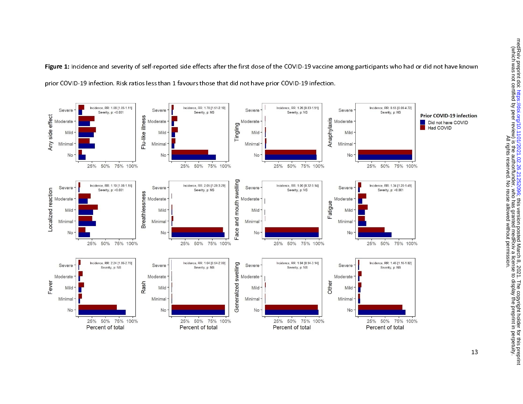Figure 1: Incidence and severity of self-reported side effects after the first dose of the COVID-19 vaccine among participants who had or did not have known prior COVID-19 infection. Risk ratios less than 1 favours those that did not have prior COVID-19 infection.

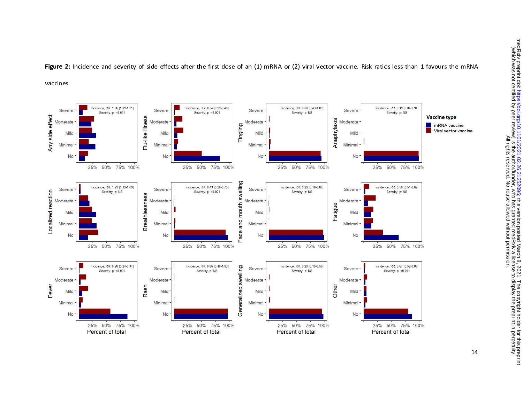Figure 2: Incidence and severity of side effects after the first dose of an (1) mRNA or (2) viral vector vaccine. Risk ratios less than 1 favours the mRNA

vaccines.

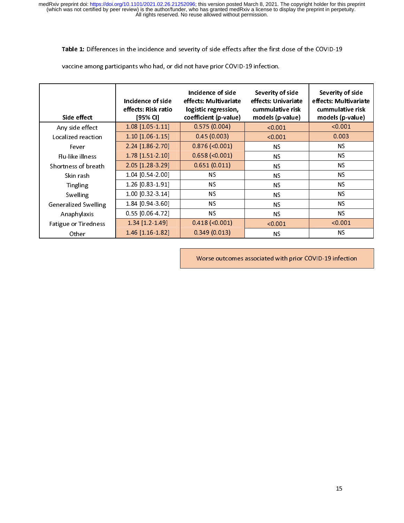| Side effect                 | Incidence of side<br>effects: Risk ratio<br>[95% CI] | Incidence of side<br>effects: Multivariate<br>logistic regression,<br>coefficient (p-value) | Severity of side<br>effects: Univariate<br>cummulative risk<br>models (p-value) | Severity of side<br>effects: Multivariate<br>cummulative risk<br>models (p-value) |
|-----------------------------|------------------------------------------------------|---------------------------------------------------------------------------------------------|---------------------------------------------------------------------------------|-----------------------------------------------------------------------------------|
| Any side effect             | 1.08 [1.05 1.11]                                     | 0.575(0.004)                                                                                | < 0.001                                                                         | < 0.001                                                                           |
| Localized reaction          | 1.10 [1.06-1.15]                                     | 0.45(0.003)                                                                                 | < 0.001                                                                         | 0.003                                                                             |
| Fever                       | 2.24 [1.86-2.70]                                     | $0.876$ (< $0.001$ )                                                                        | <b>NS</b>                                                                       | NS.                                                                               |
| Flu-like illness            | 1.78 [1.51-2.10]                                     | $0.658$ (< $0.001$ )                                                                        | <b>NS</b>                                                                       | <b>NS</b>                                                                         |
| Shortness of breath         | 2.05 [1.28-3.29]                                     | 0.651(0.011)                                                                                | <b>NS</b>                                                                       | <b>NS</b>                                                                         |
| Skin rash                   | 1.04 [0.54-2.00]                                     | <b>NS</b>                                                                                   | <b>NS</b>                                                                       | <b>NS</b>                                                                         |
| Tingling                    | 1.26 [0.83-1.91]                                     | <b>NS</b>                                                                                   | <b>NS</b>                                                                       | NS.                                                                               |
| Swelling                    | 1.00 [0.32-3.14]                                     | <b>NS</b>                                                                                   | <b>NS</b>                                                                       | NS.                                                                               |
| <b>Generalized Swelling</b> | 1.84 [0.94-3.60]                                     | <b>NS</b>                                                                                   | <b>NS</b>                                                                       | <b>NS</b>                                                                         |
| Anaphylaxis                 | $0.55$ [0.06-4.72]                                   | NS.                                                                                         | <b>NS</b>                                                                       | <b>NS</b>                                                                         |
| Fatigue or Tiredness        | 1.34 [1.2 1.49]                                      | $0.418$ (<0.001)                                                                            | < 0.001                                                                         | < 0.001                                                                           |
| Other                       | 1.46 [1.16-1.82]                                     | 0.349(0.013)                                                                                | <b>NS</b>                                                                       | NS.                                                                               |
|                             |                                                      |                                                                                             | Worse outcomes associated with prior COVID-19 infection                         |                                                                                   |

Existence of the United States of the United States of the United States of the United States of the United States of the United States of the United States of the United States of the United States of the United States of Worse outcomes associated with prior COVID-19 infection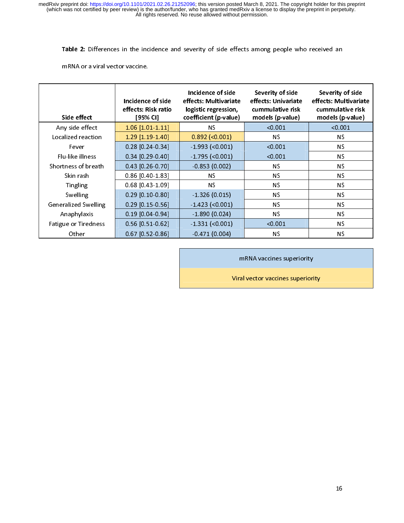| Side effect                 | Incidence of side<br>effects: Risk ratio<br>[95% CI] | Incidence of side<br>effects: Multivariate<br>logistic regression,<br>coefficient (p-value) | Severity of side<br>effects: Univariate<br>cummulative risk<br>models (p-value) | Severity of side<br>effects: Multivariate<br>cummulative risk<br>models (p-value) |
|-----------------------------|------------------------------------------------------|---------------------------------------------------------------------------------------------|---------------------------------------------------------------------------------|-----------------------------------------------------------------------------------|
| Any side effect             | 1.06 [1.01-1.11]                                     | <b>NS</b>                                                                                   | < 0.001                                                                         | < 0.001                                                                           |
| Localized reaction          | 1.29 [1.19-1.40]                                     | $0.892$ (<0.001)                                                                            | <b>NS</b>                                                                       | <b>NS</b>                                                                         |
| Fever                       | $0.28$ $[0.24 - 0.34]$                               | $-1.993$ (<0.001)                                                                           | < 0.001                                                                         | <b>NS</b>                                                                         |
| Flu-like illness            | $0.34$ $[0.29 - 0.40]$                               | $-1.795$ (<0.001)                                                                           | < 0.001                                                                         | <b>NS</b>                                                                         |
| Shortness of breath         | $0.43$ $[0.26 - 0.70]$                               | $-0.853(0.002)$                                                                             | <b>NS</b>                                                                       | <b>NS</b>                                                                         |
| Skin rash                   | 0.86 [0.40-1.83]                                     | <b>NS</b>                                                                                   | <b>NS</b>                                                                       | <b>NS</b>                                                                         |
| Tingling                    | 0.68 [0.43-1.09]                                     | <b>NS</b>                                                                                   | NS.                                                                             | <b>NS</b>                                                                         |
| Swelling                    | $0.29$ [0.10-0.80]                                   | $-1.326(0.015)$                                                                             | ΝS                                                                              | <b>NS</b>                                                                         |
| <b>Generalized Swelling</b> | $0.29$ [0.15-0.56]                                   | $-1.423$ (<0.001)                                                                           | <b>NS</b>                                                                       | <b>NS</b>                                                                         |
| Anaphylaxis                 | $0.19$ $[0.04 - 0.94]$                               | $-1.890(0.024)$                                                                             | <b>NS</b>                                                                       | <b>NS</b>                                                                         |
| Fatigue or Tiredness        | $0.56$ [0.51-0.62]                                   | $-1.331$ (<0.001)                                                                           | < 0.001                                                                         | <b>NS</b>                                                                         |
| Other                       | $0.67$ [0.52-0.86]                                   | $-0.471(0.004)$                                                                             | ΝS                                                                              | <b>NS</b>                                                                         |
|                             |                                                      |                                                                                             | mRNA vaccines superiority                                                       |                                                                                   |
|                             |                                                      | Viral vector vaccines superiority                                                           |                                                                                 |                                                                                   |

MRNA vaccines superiority<br>
Viral vector vaccines superiority<br>
Viral vector vaccines superiority mRNA vaccines superiority<br>
Viral vector vaccines superiority Viral vector vaccines superiority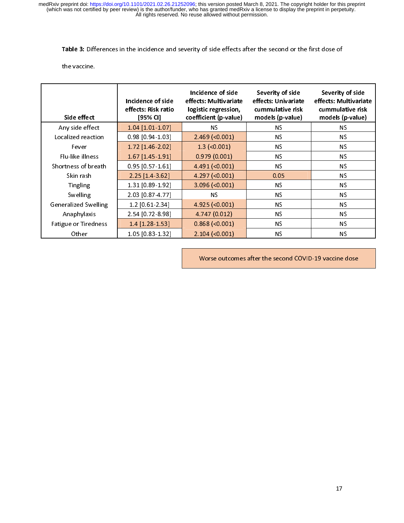| Side effect                 | Incidence of side<br>effects: Risk ratio<br>[95% CI] | Incidence of side<br>effects: Multivariate<br>logistic regression,<br>coefficient (p-value) | Severity of side<br>effects: Univariate<br>cummulative risk<br>models (p-value) | Severity of side<br>effects: Multivariate<br>cummulative risk<br>models (p-value) |
|-----------------------------|------------------------------------------------------|---------------------------------------------------------------------------------------------|---------------------------------------------------------------------------------|-----------------------------------------------------------------------------------|
| Any side effect             | $1.04$ [1.01-1.07]                                   | <b>NS</b>                                                                                   | <b>NS</b>                                                                       | <b>NS</b>                                                                         |
| Localized reaction          | 0.98 [0.94-1.03]                                     | $2.469$ (<0.001)                                                                            | <b>NS</b>                                                                       | <b>NS</b>                                                                         |
| Fever                       | 1.72 [1.46-2.02]                                     | $1.3$ (<0.001)                                                                              | ΝS                                                                              | <b>NS</b>                                                                         |
| Flu-like illness            | 1.67 [1.45 1.91]                                     | 0.979(0.001)                                                                                | <b>NS</b>                                                                       | <b>NS</b>                                                                         |
| Shortness of breath         | $0.95$ [0.57-1.61]                                   | 4.491 (< 0.001)                                                                             | <b>NS</b>                                                                       | <b>NS</b>                                                                         |
| Skin rash                   | 2.25 [1.4 - 3.62]                                    | 4.297 (< 0.001)                                                                             | 0.05                                                                            | <b>NS</b>                                                                         |
| Tingling                    | 1.31 [0.89-1.92]                                     | $3.096$ (<0.001)                                                                            | <b>NS</b>                                                                       | <b>NS</b>                                                                         |
| Swelling                    | 2.03 [0.87-4.77]                                     | <b>NS</b>                                                                                   | NS.                                                                             | <b>NS</b>                                                                         |
| <b>Generalized Swelling</b> | 1.2 [0.61-2.34]                                      | $4.925$ (<0.001)                                                                            | NS.                                                                             | <b>NS</b>                                                                         |
| Anaphylaxis                 | 2.54 [0.72-8.98]                                     | 4.747 (0.012)                                                                               | ΝS                                                                              | <b>NS</b>                                                                         |
| Fatigue or Tiredness        | 14 [1.28 1.53]                                       | $0.868$ (< $0.001$ )                                                                        | <b>NS</b>                                                                       | <b>NS</b>                                                                         |
| Other                       | 1.05 [0.83-1.32]                                     | $2.104$ (<0.001)                                                                            | <b>NS</b>                                                                       | <b>NS</b>                                                                         |
|                             |                                                      |                                                                                             | Worse outcomes after the second COVID-19 vaccine dose                           |                                                                                   |

Vorse outcomes after the second COVID-19 vaccine d Worse outcomes after the second COVID-19 vaccine dose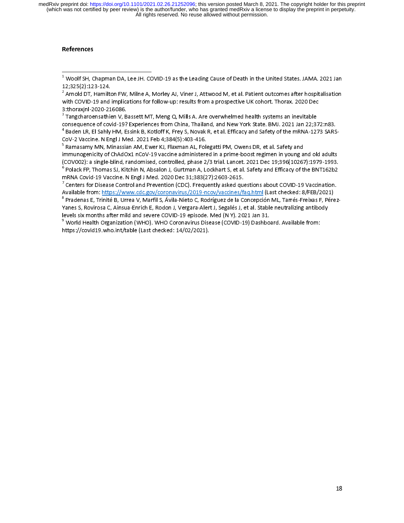### References

- 12 V 33 C 4 C with COVID-19 and implications for follow-up: results from a prospective UK cohort. Thorax. 2020 Dec<br>Archoraxjnl-2020-216086.<br>Tangcharoensathien V, Bassett MT, Meng Q, Mills A. Are overwhelmed health systems an inevitable<br> 3:thoraxjnl-2020-216086.<br><sup>3</sup> Tangcharoensathien V, Bassett MT, Meng Q, Mills A. Are overwhelmed health systems an inevitable<br>consequence of covid-19? Experiences from China, Thailand, and New York State. BMJ. 2021 Jan 22;3 <sup>3</sup> Tangcharoensathien V, B<br>consequence of covid-19?<br><sup>4</sup> Baden LR, El Sahly HM, E<br>CoV-2 Vaccine. N Engl J M consequence of covid-19? Experiences from China, Thailand, and New York State. BMJ. 2021 Jan 22;372:n83.<br><sup>4</sup> Baden LR, El Sahly HM, Essink B, Kotloff K, Frey S, Novak R, et al. Efficacy and Safety of the mRNA-1273 SARS<br>CoV

<sup>4</sup> Baden LR, El Sahly HM, Essink B, Kotloff K, Frey S, Novak R, et al. Efficacy and Safety of the mRNA-1273 SARS<br>CoV-2 Vaccine. N Engl J Med. 2021 Feb 4;384(5):403-416. That is estimated. By and State and State and State. (COV002): a single-blind, randomised, controlled, phase 2/3 trial. Lancet. 2021 Dec 19;396(10267):1979-1993.  $^5$  Ramasamy MN, Minassian AM, Ewer KJ, Flaxman AL, Folimmunogenicity of ChAdOx1 nCoV-19 vaccine administere<br>(COV002): a single-blind, randomised, controlled, phase 2,<br> $^6$  Polack FP, Thomas SJ, Kitchin N, Absalon J, Gur  $^5$  Ramasamy MN, Minassian AM, Ewer KJ, Flaxman AL, Folegatti PM, Owens DR, et al. Safety and mmunogenicity of ChAdOx1 nCoV-19 vaccine administered in a prime-boost regimen in young a<br>COV002): a single-blind, randomised, controlled, phase 2/3 trial. Lancet. 2021 Dec 19;396(10267<br>Polack FP, Thomas SJ, Kitchin N, Abs (COV002): a single-blind, randomised, controlled, phase 2/3 trial. Lancet. 2021 Dec 19;396(10267):1979-1993.<br><sup>6</sup> Polack FP, Thomas SJ, Kitchin N, Absalon J, Gurtman A, Lockhart S, et al. Safety and Efficacy of the BNT162b2 <sup>6</sup> Polack FP, Thomas SJ, Kitchin N, Absalon J, Gurtman A, Lockhart S, et al. Safety and Efficacy of the BNT162b2<br>mRNA Covid-19 Vaccine. N Engl J Med. 2020 Dec 31;383(27):2603-2615.<br><sup>7</sup> Centers for Disease Control and Prev

POLACK FR, Thomas Space Folack Fe, Thomas SJ, SR, Corrector SP, Thomas Space Folace Fe, Centers for Disease Control and Prevention (CDC). Frequently asked questions about COVID-19 Vaccination.<br>The Valiable from: <u>https://w</u>

<sup>7</sup> Centers for Disease Control and Prevention (CDC). Frequently asked qu<br>Available from: <u>https://www.cdc.gov/coronavirus/2019-ncov/vaccines/fi</u><br><sup>8</sup> Pradenas E, Trinité B, Urrea V, Marfil S, Ávila-Nieto C, Rodríguez de la Wailable from: <u>https://www.cdc.gov/coronavirus/2019-ncov/vaccines/faq.html</u> (Last checked: 8/FEB/2021)<br>Pradenas E, Trinité B, Urrea V, Marfil S, Ávila-Nieto C, Rodríguez de la Concepción ML, Tarrés-Freixas F, Pérez<br>'anes Pradenas E, Trinite B, Urrea V, Marfil S, Avila-Nieto C, Rodriguez de la Concepcion ML, Tarres-Freixas F, Pere<br>Yanes S, Rovirosa C, Ainsua-Enrich E, Rodon J, Vergara-Alert J, Segalés J, et al. Stable neutralizing antibody<br>

https://covid19.who.int/table (Last checked: 14/02/2021). Pevels six months after mild and severe COVID-19 episode. Med (NY). 2021 Jan 31.<br>Povels six months after mild and severe COVID-19 episode. Med (NY). 2021 Jan 31.<br>Poveld Health Organization (WHO). WHO Coronavirus Disease (C <sup>9</sup> World Health Organization (WHO). WHO Coronavirus Disease (COVID-19) Dashbo<br>https://covid19.who.int/table (Last checked: 14/02/2021).<br>"  $\text{https://covid19.who.int/table (Last checked: 14/02/2021).}$ https://covid19.who.int/table (Last checked: 14/02/2021).

<sup>2;325(2):123-124.&</sup>lt;br>Arnold DT, Hamilton FW, Milne A, Morley AJ, Viner J, Attwood M, et al. Patient outcomes after hospitalisation<br>with COVID-19 and implications for follow-up: results from a prospective UK cohort. Thorax. 20 <sup>2</sup> Arnold DT, Hamilt<br>with COVID-19 and<br>3:thoraxjnl-2020-21<br><sup>3</sup> Tangcharoensathie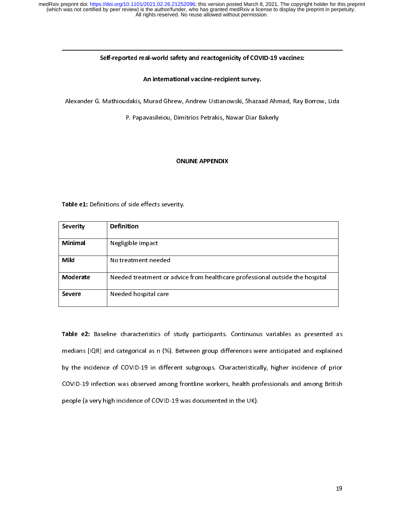# Self-reported real-world safety and reactogenicity of COVID-19 vaccines:

### An international vaccine-recipient survey.

Alexander G. Mathiouda<br>
Alexander G. Mathioudakis, Maria Ghrew, Andrew Ustianowski, Sharaad Ahmad, Andrew Ustianow<br>
C. Murad, A. Maria Borrow, Linda Ahmad, Ray Borrow, Linda Ahmad, Ray Borrow, Linda Ahmad, A. Maria Borrow, P. Papavasileiou, Dimitrios Petrakis, Nawar Diar Bakerly<br>ONLINE APPENDIX<br>ONLINE APPENDIX

|          | אושום ו וחיום ושוט                                                                            |
|----------|-----------------------------------------------------------------------------------------------|
|          |                                                                                               |
|          | Table e1: Definitions of side effects severity.                                               |
| Severity | Definition                                                                                    |
| Minimal  | Negligible impact                                                                             |
| Mild     | No treatment needed                                                                           |
| Moderate | Needed treatment or advice from healthcare professional outside the hospital                  |
| Severe   | Needed hospital care                                                                          |
|          |                                                                                               |
|          | Table e2: Baseline characteristics of study participants. Continuous variables as presented a |

Severe Needed hospital care<br>
Table e2: Baseline characteristics of<br>
medians [IQR] and categorical as n (%) Table ez: Baseline characteristics of study participants. Continuous variables as presented as<br>medians [IQR] and categorical as n (%). Between group differences were anticipated and explained<br>by the incidence of COVID-19 i medians [IQR] and categorical as n (%). Between group differences were anticipated and explained<br>by the incidence of COVID-19 in different subgroups. Characteristically, higher incidence of prior<br>COVID-19 infection was obs COVID-19 infection was observed among frontline workers, health professionals and among British people (a very high incidence of COVID-19 was documented in the UK). people (a very high incidence of COVID-19 was documented in the UK).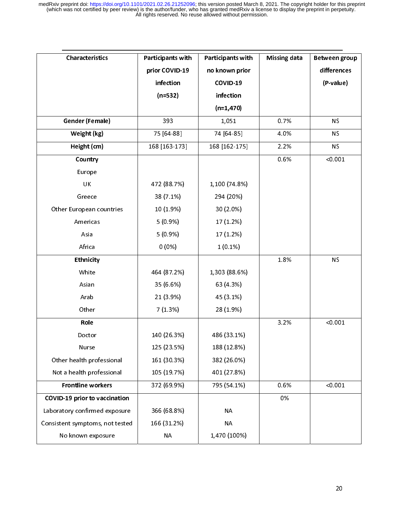| <b>Characteristics</b>               | Participants with | Participants with | Missing data | Between group |
|--------------------------------------|-------------------|-------------------|--------------|---------------|
|                                      | prior COVID-19    | no known prior    |              | differences   |
|                                      | infection         | COVID-19          |              | (P-value)     |
|                                      | $(n=532)$         | infection         |              |               |
|                                      |                   | $(n=1,470)$       |              |               |
| <b>Gender (Female)</b>               | 393               | 1,051             | 0.7%         | <b>NS</b>     |
| Weight (kg)                          | 75 [64-88]        | 74 [64-85]        | 4.0%         | <b>NS</b>     |
| Height (cm)                          | 168 [163-173]     | 168 [162-175]     | 2.2%         | <b>NS</b>     |
| Country                              |                   |                   | 0.6%         | < 0.001       |
| Europe                               |                   |                   |              |               |
| UK                                   | 472 (88.7%)       | 1,100 (74.8%)     |              |               |
| Greece                               | 38 (7.1%)         | 294 (20%)         |              |               |
| Other European countries             | 10 (1.9%)         | 30 (2.0%)         |              |               |
| Americas                             | 5 (0.9%)          | 17 (1.2%)         |              |               |
| Asia                                 | 5 (0.9%)          | 17 (1.2%)         |              |               |
| Africa                               | $0(0\%)$          | $1(0.1\%)$        |              |               |
| Ethnicity                            |                   |                   | 1.8%         | <b>NS</b>     |
| White                                | 464 (87.2%)       | 1,303 (88.6%)     |              |               |
| Asian                                | 35 (6.6%)         | 63 (4.3%)         |              |               |
| Arab                                 | 21 (3.9%)         | 45 (3.1%)         |              |               |
| Other                                | 7(1.3%)           | 28 (1.9%)         |              |               |
| Role                                 |                   |                   | 3.2%         | < 0.001       |
| Doctor                               | 140 (26.3%)       | 486 (33.1%)       |              |               |
| Nurse                                | 125 (23.5%)       | 188 (12.8%)       |              |               |
| Other health professional            | 161 (30.3%)       | 382 (26.0%)       |              |               |
| Not a health professional            | 105 (19.7%)       | 401 (27.8%)       |              |               |
| Frontline workers                    | 372 (69.9%)       | 795 (54.1%)       | 0.6%         | < 0.001       |
| <b>COVID-19 prior to vaccination</b> |                   |                   | 0%           |               |
| Laboratory confirmed exposure        | 366 (68.8%)       | <b>NA</b>         |              |               |
| Consistent symptoms, not tested      | 166 (31.2%)       | <b>NA</b>         |              |               |
| No known exposure                    | NA                | 1,470 (100%)      |              |               |
|                                      |                   |                   |              |               |
|                                      |                   |                   |              |               |
|                                      |                   |                   |              |               |
|                                      |                   |                   |              | 20            |
|                                      |                   |                   |              |               |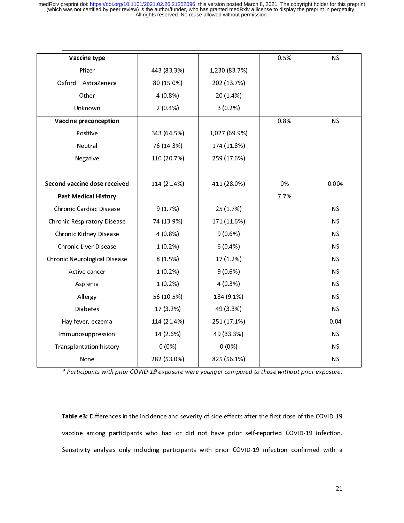| Vaccine type                       |             |                                                                                                    | 0.5% | <b>NS</b> |
|------------------------------------|-------------|----------------------------------------------------------------------------------------------------|------|-----------|
| Pfizer                             | 443 (83.3%) | 1,230 (83.7%)                                                                                      |      |           |
| Oxford - AstraZeneca               | 80 (15.0%)  | 202 (13.7%)                                                                                        |      |           |
| Other                              | $4(0.8\%)$  | 20 (1.4%)                                                                                          |      |           |
| Unknown                            | $2(0.4\%)$  | 3(0.2%)                                                                                            |      |           |
| Vaccine preconception              |             |                                                                                                    | 0.8% | <b>NS</b> |
| Positive                           | 343 (64.5%) | 1,027 (69.9%)                                                                                      |      |           |
| Neutral                            | 76 (14.3%)  | 174 (11.8%)                                                                                        |      |           |
| Negative                           | 110 (20.7%) | 259 (17.6%)                                                                                        |      |           |
| Second vaccine dose received       | 114 (21.4%) | 411 (28.0%)                                                                                        | 0%   | 0.004     |
| <b>Past Medical History</b>        |             |                                                                                                    | 7.7% |           |
| Chronic Cardiac Disease            | 9(17%)      | 25 (1.7%)                                                                                          |      | <b>NS</b> |
| <b>Chronic Respiratory Disease</b> | 74 (13.9%)  | 171 (11.6%)                                                                                        |      | <b>NS</b> |
| Chronic Kidney Disease             | $4(0.8\%)$  | 9(0.6%)                                                                                            |      | <b>NS</b> |
| <b>Chronic Liver Disease</b>       | $1(0.2\%)$  | $6(0.4\%)$                                                                                         |      | <b>NS</b> |
| Chronic Neurological Disease       | 8(1.5%)     | 17 (1.2%)                                                                                          |      | <b>NS</b> |
| Active cancer                      | $1(0.2\%)$  | 9(0.6%)                                                                                            |      | <b>NS</b> |
| Asplenia                           | $1(0.2\%)$  | 4(0.3%)                                                                                            |      | <b>NS</b> |
| Allergy                            | 56 (10.5%)  | 134 (9.1%)                                                                                         |      | <b>NS</b> |
| Diabetes                           | 17 (3.2%)   | 49 (3.3%)                                                                                          |      | <b>NS</b> |
| Hay fever, eczema                  | 114 (21.4%) | 251 (17.1%)                                                                                        |      | 0.04      |
| Immunosuppression                  | 14 (2.6%)   | 49 (33.3%)                                                                                         |      | <b>NS</b> |
| Transplantation history            | $0(0\%)$    | $0(0\%)$                                                                                           |      | <b>NS</b> |
| None                               | 282 (53.0%) | 825 (56.1%)                                                                                        |      | ΝS        |
|                                    |             | * Participants with prior COVID-19 exposure were younger compared to those without prior exposure. |      |           |

non<br>Cipant<br>**e3**: Dif  $222 (328.7)$ <br>19 exposure is and the same of the same of the same of the same state of the same state of the same state of the same state of the same state of the same state of the same state of the same state of the same state of the same state of th  $\frac{1}{2}$ <br> $\frac{1}{2}$ <br> $\frac{1}{2}$  $\begin{array}{c} \n\frac{1}{2} & \frac{1}{2} \\ \n\frac{1}{2} & \frac{1}{2} \\ \n\frac{1}{2} & \frac{1}{2} \\ \n\frac{1}{2} & \frac{1}{2} \\ \n\frac{1}{2} & \frac{1}{2} \\ \n\frac{1}{2} & \frac{1}{2} \\ \n\frac{1}{2} & \frac{1}{2} \\ \n\frac{1}{2} & \frac{1}{2} \\ \n\frac{1}{2} & \frac{1}{2} \\ \n\frac{1}{2} & \frac{1}{2} \\ \n\frac{1}{2} & \frac{1}{2} \\ \n\frac{1}{2} & \frac{1}{$ Table e3: Differences in the incidence and severity of side effects after the first dose of the COVID-19 vaccine among participants who had or did not have prior self-reported COVID-19 infection.<br>Sensitivity analysis only Sensitivity analysis only including participants with prior COVID-19 infection confirmed with a Sensitivity analysis only including participants with prior COVID-19 infection confirmed with a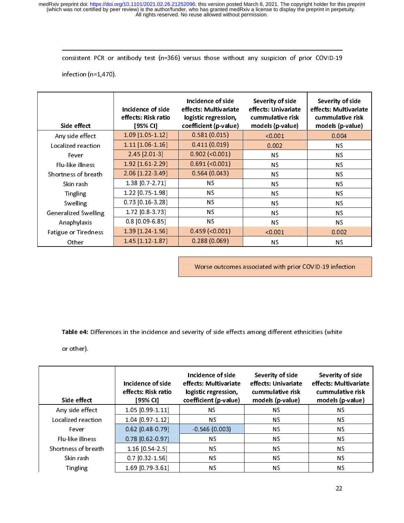| Side effect                 | Incidence of side<br>effects: Risk ratio<br>$[95%$ CI] | Incidence of side<br>effects: Multivariate<br>logistic regression,<br>coefficient (p-value) | Severity of side<br>effects: Univariate<br>cummulative risk<br>models (p-value) | Severity of side<br>effects: Multivariate<br>cummulative risk<br>models (p-value) |
|-----------------------------|--------------------------------------------------------|---------------------------------------------------------------------------------------------|---------------------------------------------------------------------------------|-----------------------------------------------------------------------------------|
| Any side effect             | $1.09$ [1.05 $1.12$ ]                                  | 0.581(0.015)                                                                                | < 0.001                                                                         | 0.004                                                                             |
| Localized reaction          | $1.11$ [1.06-1.16]                                     | 0.411(0.019)                                                                                | 0.002                                                                           | <b>NS</b>                                                                         |
| Fever                       | $2.45$ [2.01-3]                                        | $0.902$ (< $0.001$ )                                                                        | <b>NS</b>                                                                       | <b>NS</b>                                                                         |
| Flu-like illness            | 1.92 [1.61-2.29]                                       | $0.691$ (<0.001)                                                                            | <b>NS</b>                                                                       | <b>NS</b>                                                                         |
| Shortness of breath         | 2.06 [1.22-3.49]                                       | 0.564(0.043)                                                                                | <b>NS</b>                                                                       | <b>NS</b>                                                                         |
| Skin rash                   | 1.38 [0.7-2.71]                                        | <b>NS</b>                                                                                   | <b>NS</b>                                                                       | <b>NS</b>                                                                         |
| Tingling                    | 1.22 [0.75-1.98]                                       | <b>NS</b>                                                                                   | <b>NS</b>                                                                       | <b>NS</b>                                                                         |
| Swelling                    | $0.73$ [0.16-3.28]                                     | <b>NS</b>                                                                                   | NS.                                                                             | ΝS                                                                                |
| <b>Generalized Swelling</b> | 1.72 [0.8-3.73]                                        | <b>NS</b>                                                                                   | NS.                                                                             | ΝS                                                                                |
| Anaphylaxis                 | $0.8$ [0.09-6.85]                                      | <b>NS</b>                                                                                   | <b>NS</b>                                                                       | <b>NS</b>                                                                         |
| Fatigue or Tiredness        | 1.39 [1.24 1.56]                                       | $0.459$ (< $0.001$ )                                                                        | < 0.001                                                                         | 0.002                                                                             |
| Other                       | 1.45 [1.12-1.87]                                       | 0.288(0.069)                                                                                | <b>NS</b>                                                                       | <b>NS</b>                                                                         |
|                             |                                                        |                                                                                             | Worse outcomes associated with prior COVID-19 infection                         |                                                                                   |

Worse outcomes associated with prior COVID-19 infect<br>
Under the United States of the States of the States of the States of the States of the States of the States of the States of the States of the States of the States of t

 $\frac{1}{2}$  and the contract with prior COVID-19 infection with prior COVID-19 infection with prior  $\frac{1}{2}$  in  $\frac{1}{2}$  in  $\frac{1}{2}$  in  $\frac{1}{2}$  in  $\frac{1}{2}$  in  $\frac{1}{2}$  in  $\frac{1}{2}$  in  $\frac{1}{2}$  in  $\frac{1}{2}$  in  $\frac{1}{$  $\frac{1}{2}$  $\frac{1}{2}$ 

| Side effect         | Incidence of side<br>effects: Risk ratio<br>[95% CI] | Incidence of side<br>effects: Multivariate<br>logistic regression,<br>coefficient (p-value) | Severity of side<br>effects: Univariate<br>cummulative risk<br>models (p-value) | Severity of side<br>effects: Multivariate<br>cummulative risk<br>models (p-value) |
|---------------------|------------------------------------------------------|---------------------------------------------------------------------------------------------|---------------------------------------------------------------------------------|-----------------------------------------------------------------------------------|
| Any side effect     | 1.05 [0.99-1.11]                                     | <b>NS</b>                                                                                   | <b>NS</b>                                                                       | <b>NS</b>                                                                         |
| Localized reaction  | 1.04 [0.97-1.12]                                     | <b>NS</b>                                                                                   | <b>NS</b>                                                                       | <b>NS</b>                                                                         |
| Fever               | $0.62$ [0.48-0.79]                                   | $-0.546(0.003)$                                                                             | <b>NS</b>                                                                       | <b>NS</b>                                                                         |
| Flu-like illness    | $0.78$ [0.62-0.97]                                   | <b>NS</b>                                                                                   | <b>NS</b>                                                                       | <b>NS</b>                                                                         |
| Shortness of breath | 1.16 [0.54-2.5]                                      | <b>NS</b>                                                                                   | <b>NS</b>                                                                       | <b>NS</b>                                                                         |
| Skin rash           | $0.7$ [0.32-1.56]                                    | <b>NS</b>                                                                                   | <b>NS</b>                                                                       | <b>NS</b>                                                                         |
| Tingling            | 1.69 [0.79-3.61]                                     | <b>NS</b>                                                                                   | <b>NS</b>                                                                       | <b>NS</b>                                                                         |
|                     |                                                      |                                                                                             |                                                                                 | 22                                                                                |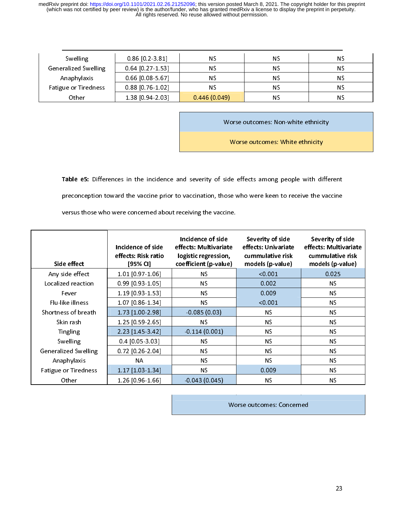| Swelling                    | $0.86$ [0.2-3.81]      | NS.          | NS.                                 | NS.       |  |
|-----------------------------|------------------------|--------------|-------------------------------------|-----------|--|
| <b>Generalized Swelling</b> | $0.64$ $[0.27 - 1.53]$ | NS.          | ΝS                                  | <b>NS</b> |  |
| Anaphylaxis                 | $0.66$ [0.08-5.67]     | NS.          | NS.                                 | <b>NS</b> |  |
| Fatigue or Tiredness        | 0.88 [0.76-1.02]       | <b>NS</b>    | <b>NS</b>                           | <b>NS</b> |  |
| Other                       | 1.38 [0.94-2.03]       | 0.446(0.049) | NS.                                 | <b>NS</b> |  |
|                             |                        |              |                                     |           |  |
|                             |                        |              |                                     |           |  |
|                             |                        |              | Worse outcomes: Non-white ethnicity |           |  |
|                             |                        |              |                                     |           |  |
|                             |                        |              | Worse outcomes: White ethnicity     |           |  |

Other 1.38 [0.94-2.03] 0.446 (0.049) NS NS<br>Worse outcomes: Non-white ethnicity<br>Worse outcomes: White ethnicity Vorse outcomes: Non-white ethnicity<br>Worse outcomes: White ethnicity<br>Worse outcomes: White ethnicity Worse outcomes: Non-white ethnicity<br>
Worse outcomes: White ethnicity<br>
Table e5: Differences in the incidence and severity of side effects among people with different

Worse of the effects among people with different of the whole who were keen to receive the v ן<br>|<br>| Table est. Differences in the incidence and severity of side effects among people with different<br>preconception toward the vaccine prior to vaccination, those who were keen to receive the vaccine<br>versus those who were conce

| Side effect                 | Incidence of side<br>effects: Risk ratio<br>[95% CI] | Incidence of side<br>effects: Multivariate<br>logistic regression,<br>coefficient (p-value) | Severity of side<br>effects: Univariate<br>cummulative risk<br>models (p-value) | Severity of side<br>effects: Multivariate<br>cummulative risk<br>models (p-value) |
|-----------------------------|------------------------------------------------------|---------------------------------------------------------------------------------------------|---------------------------------------------------------------------------------|-----------------------------------------------------------------------------------|
| Any side effect             | 1.01 [0.97-1.06]                                     | <b>NS</b>                                                                                   | < 0.001                                                                         | 0.025                                                                             |
| Localized reaction          | $0.99$ [0.93-1.05]                                   | <b>NS</b>                                                                                   | 0.002                                                                           | <b>NS</b>                                                                         |
| Fever                       | 1.19 [0.93-1.53]                                     | <b>NS</b>                                                                                   | 0.009                                                                           | NS.                                                                               |
| Flu-like illness            | 1.07 [0.86-1.34]                                     | <b>NS</b>                                                                                   | < 0.001                                                                         | <b>NS</b>                                                                         |
| Shortness of breath         | 1.73 [1.00-2.98]                                     | $-0.085(0.03)$                                                                              | <b>NS</b>                                                                       | <b>NS</b>                                                                         |
| Skin rash                   | 1.25 [0.59-2.65]                                     | <b>NS</b>                                                                                   | <b>NS</b>                                                                       | <b>NS</b>                                                                         |
| Tingling                    | 2.23 [1.45 3.42]                                     | $-0.114(0.001)$                                                                             | <b>NS</b>                                                                       | <b>NS</b>                                                                         |
| Swelling                    | $0.4$ $[0.05, 3.03]$                                 | <b>NS</b>                                                                                   | <b>NS</b>                                                                       | <b>NS</b>                                                                         |
| <b>Generalized Swelling</b> | $0.72$ $[0.26 - 2.04]$                               | <b>NS</b>                                                                                   | <b>NS</b>                                                                       | <b>NS</b>                                                                         |
| Anaphylaxis                 | <b>NA</b>                                            | <b>NS</b>                                                                                   | <b>NS</b>                                                                       | <b>NS</b>                                                                         |
| Fatigue or Tiredness        | 1.17 [1.03-1.34]                                     | <b>NS</b>                                                                                   | 0.009                                                                           | <b>NS</b>                                                                         |
| Other                       | 1.26 [0.96-1.66]                                     | $-0.043(0.045)$                                                                             | <b>NS</b>                                                                       | <b>NS</b>                                                                         |
|                             |                                                      |                                                                                             | Worse outcomes: Concerned                                                       |                                                                                   |

Worse outcomes: Concerned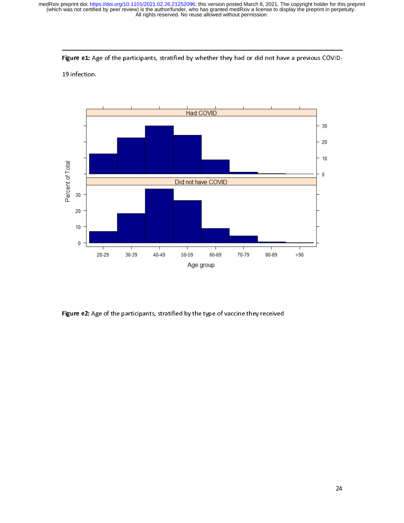

Figure e2: Age of the participants, stratified by the type of vaccine they received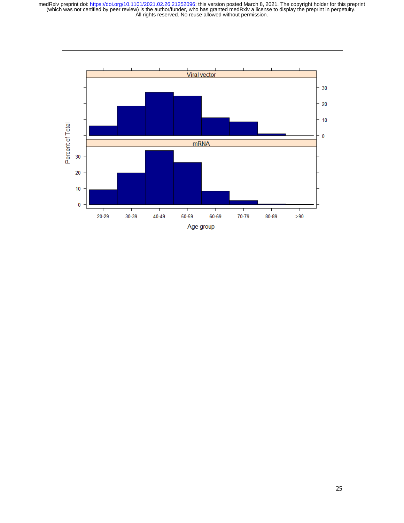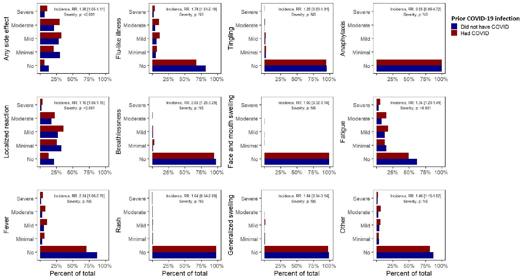